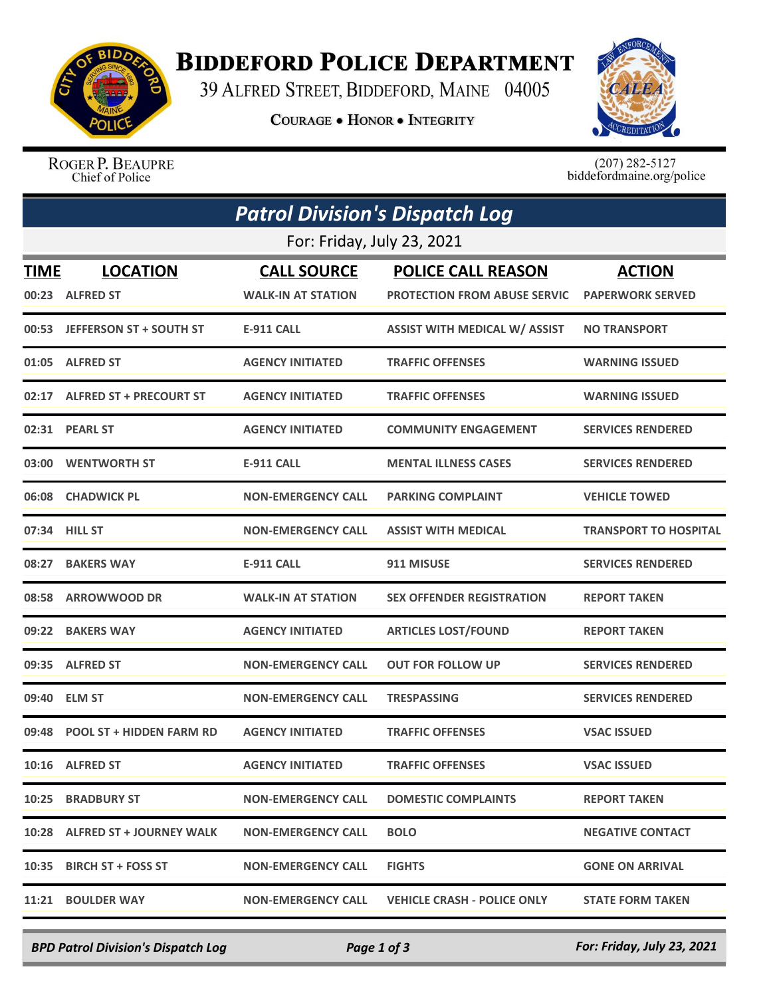

## **BIDDEFORD POLICE DEPARTMENT**

39 ALFRED STREET, BIDDEFORD, MAINE 04005

**COURAGE . HONOR . INTEGRITY** 



ROGER P. BEAUPRE Chief of Police

 $(207)$  282-5127<br>biddefordmaine.org/police

| <b>Patrol Division's Dispatch Log</b> |                                    |                                                 |                                                                  |                                          |
|---------------------------------------|------------------------------------|-------------------------------------------------|------------------------------------------------------------------|------------------------------------------|
|                                       |                                    | For: Friday, July 23, 2021                      |                                                                  |                                          |
| <b>TIME</b>                           | <b>LOCATION</b><br>00:23 ALFRED ST | <b>CALL SOURCE</b><br><b>WALK-IN AT STATION</b> | <b>POLICE CALL REASON</b><br><b>PROTECTION FROM ABUSE SERVIC</b> | <b>ACTION</b><br><b>PAPERWORK SERVED</b> |
|                                       | 00:53 JEFFERSON ST + SOUTH ST      | <b>E-911 CALL</b>                               | <b>ASSIST WITH MEDICAL W/ ASSIST</b>                             | <b>NO TRANSPORT</b>                      |
|                                       | 01:05 ALFRED ST                    | <b>AGENCY INITIATED</b>                         | <b>TRAFFIC OFFENSES</b>                                          | <b>WARNING ISSUED</b>                    |
|                                       | 02:17 ALFRED ST + PRECOURT ST      | <b>AGENCY INITIATED</b>                         | <b>TRAFFIC OFFENSES</b>                                          | <b>WARNING ISSUED</b>                    |
|                                       | 02:31 PEARL ST                     | <b>AGENCY INITIATED</b>                         | <b>COMMUNITY ENGAGEMENT</b>                                      | <b>SERVICES RENDERED</b>                 |
|                                       | 03:00 WENTWORTH ST                 | <b>E-911 CALL</b>                               | <b>MENTAL ILLNESS CASES</b>                                      | <b>SERVICES RENDERED</b>                 |
|                                       | 06:08 CHADWICK PL                  | <b>NON-EMERGENCY CALL</b>                       | <b>PARKING COMPLAINT</b>                                         | <b>VEHICLE TOWED</b>                     |
|                                       | 07:34 HILL ST                      | <b>NON-EMERGENCY CALL</b>                       | <b>ASSIST WITH MEDICAL</b>                                       | <b>TRANSPORT TO HOSPITAL</b>             |
|                                       | 08:27 BAKERS WAY                   | <b>E-911 CALL</b>                               | 911 MISUSE                                                       | <b>SERVICES RENDERED</b>                 |
|                                       | 08:58 ARROWWOOD DR                 | <b>WALK-IN AT STATION</b>                       | <b>SEX OFFENDER REGISTRATION</b>                                 | <b>REPORT TAKEN</b>                      |
|                                       | 09:22 BAKERS WAY                   | <b>AGENCY INITIATED</b>                         | <b>ARTICLES LOST/FOUND</b>                                       | <b>REPORT TAKEN</b>                      |
|                                       | 09:35 ALFRED ST                    | <b>NON-EMERGENCY CALL</b>                       | <b>OUT FOR FOLLOW UP</b>                                         | <b>SERVICES RENDERED</b>                 |
| 09:40                                 | <b>ELM ST</b>                      | <b>NON-EMERGENCY CALL</b>                       | <b>TRESPASSING</b>                                               | <b>SERVICES RENDERED</b>                 |
|                                       | 09:48 POOL ST + HIDDEN FARM RD     | <b>AGENCY INITIATED</b>                         | <b>TRAFFIC OFFENSES</b>                                          | <b>VSAC ISSUED</b>                       |
|                                       | 10:16 ALFRED ST                    | <b>AGENCY INITIATED</b>                         | <b>TRAFFIC OFFENSES</b>                                          | <b>VSAC ISSUED</b>                       |
|                                       | 10:25 BRADBURY ST                  | <b>NON-EMERGENCY CALL</b>                       | <b>DOMESTIC COMPLAINTS</b>                                       | <b>REPORT TAKEN</b>                      |
|                                       | 10:28 ALFRED ST + JOURNEY WALK     | <b>NON-EMERGENCY CALL</b>                       | <b>BOLO</b>                                                      | <b>NEGATIVE CONTACT</b>                  |
|                                       | 10:35 BIRCH ST + FOSS ST           | <b>NON-EMERGENCY CALL</b>                       | <b>FIGHTS</b>                                                    | <b>GONE ON ARRIVAL</b>                   |
|                                       | 11:21 BOULDER WAY                  | <b>NON-EMERGENCY CALL</b>                       | <b>VEHICLE CRASH - POLICE ONLY</b>                               | <b>STATE FORM TAKEN</b>                  |

*BPD Patrol Division's Dispatch Log Page 1 of 3 For: Friday, July 23, 2021*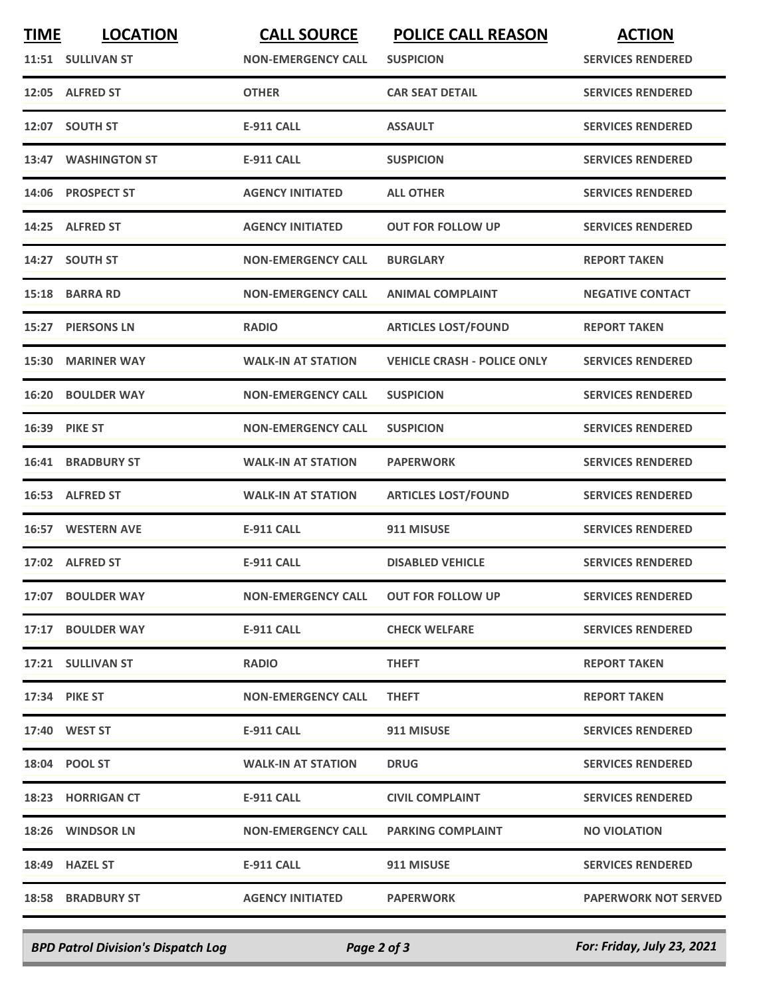| <b>TIME</b> | <b>LOCATION</b>          | <b>CALL SOURCE</b>        | <b>POLICE CALL REASON</b>          | <b>ACTION</b>               |
|-------------|--------------------------|---------------------------|------------------------------------|-----------------------------|
|             | 11:51 SULLIVAN ST        | <b>NON-EMERGENCY CALL</b> | <b>SUSPICION</b>                   | <b>SERVICES RENDERED</b>    |
|             | 12:05 ALFRED ST          | <b>OTHER</b>              | <b>CAR SEAT DETAIL</b>             | <b>SERVICES RENDERED</b>    |
|             | 12:07 SOUTH ST           | <b>E-911 CALL</b>         | <b>ASSAULT</b>                     | <b>SERVICES RENDERED</b>    |
|             | 13:47 WASHINGTON ST      | <b>E-911 CALL</b>         | <b>SUSPICION</b>                   | <b>SERVICES RENDERED</b>    |
|             | 14:06 PROSPECT ST        | <b>AGENCY INITIATED</b>   | <b>ALL OTHER</b>                   | <b>SERVICES RENDERED</b>    |
|             | 14:25 ALFRED ST          | <b>AGENCY INITIATED</b>   | <b>OUT FOR FOLLOW UP</b>           | <b>SERVICES RENDERED</b>    |
|             | 14:27 SOUTH ST           | <b>NON-EMERGENCY CALL</b> | <b>BURGLARY</b>                    | <b>REPORT TAKEN</b>         |
|             | 15:18 BARRA RD           | <b>NON-EMERGENCY CALL</b> | <b>ANIMAL COMPLAINT</b>            | <b>NEGATIVE CONTACT</b>     |
| 15:27       | <b>PIERSONS LN</b>       | <b>RADIO</b>              | <b>ARTICLES LOST/FOUND</b>         | <b>REPORT TAKEN</b>         |
|             | 15:30 MARINER WAY        | <b>WALK-IN AT STATION</b> | <b>VEHICLE CRASH - POLICE ONLY</b> | <b>SERVICES RENDERED</b>    |
|             | <b>16:20 BOULDER WAY</b> | <b>NON-EMERGENCY CALL</b> | <b>SUSPICION</b>                   | <b>SERVICES RENDERED</b>    |
|             | 16:39 PIKE ST            | <b>NON-EMERGENCY CALL</b> | <b>SUSPICION</b>                   | <b>SERVICES RENDERED</b>    |
|             | <b>16:41 BRADBURY ST</b> | <b>WALK-IN AT STATION</b> | <b>PAPERWORK</b>                   | <b>SERVICES RENDERED</b>    |
|             | 16:53 ALFRED ST          | <b>WALK-IN AT STATION</b> | <b>ARTICLES LOST/FOUND</b>         | <b>SERVICES RENDERED</b>    |
|             | 16:57 WESTERN AVE        | <b>E-911 CALL</b>         | 911 MISUSE                         | <b>SERVICES RENDERED</b>    |
|             | 17:02 ALFRED ST          | <b>E-911 CALL</b>         | <b>DISABLED VEHICLE</b>            | <b>SERVICES RENDERED</b>    |
|             | 17:07 BOULDER WAY        | <b>NON-EMERGENCY CALL</b> | <b>OUT FOR FOLLOW UP</b>           | <b>SERVICES RENDERED</b>    |
|             | 17:17 BOULDER WAY        | E-911 CALL                | <b>CHECK WELFARE</b>               | <b>SERVICES RENDERED</b>    |
|             | 17:21 SULLIVAN ST        | <b>RADIO</b>              | <b>THEFT</b>                       | <b>REPORT TAKEN</b>         |
|             | <b>17:34 PIKE ST</b>     | <b>NON-EMERGENCY CALL</b> | <b>THEFT</b>                       | <b>REPORT TAKEN</b>         |
|             | 17:40 WEST ST            | E-911 CALL                | 911 MISUSE                         | <b>SERVICES RENDERED</b>    |
|             | 18:04 POOL ST            | <b>WALK-IN AT STATION</b> | <b>DRUG</b>                        | <b>SERVICES RENDERED</b>    |
|             | 18:23 HORRIGAN CT        | E-911 CALL                | <b>CIVIL COMPLAINT</b>             | <b>SERVICES RENDERED</b>    |
|             | 18:26 WINDSOR LN         | <b>NON-EMERGENCY CALL</b> | <b>PARKING COMPLAINT</b>           | <b>NO VIOLATION</b>         |
|             | 18:49 HAZEL ST           | E-911 CALL                | 911 MISUSE                         | <b>SERVICES RENDERED</b>    |
|             | <b>18:58 BRADBURY ST</b> | <b>AGENCY INITIATED</b>   | <b>PAPERWORK</b>                   | <b>PAPERWORK NOT SERVED</b> |
|             |                          |                           |                                    |                             |

*BPD Patrol Division's Dispatch Log Page 2 of 3 For: Friday, July 23, 2021*